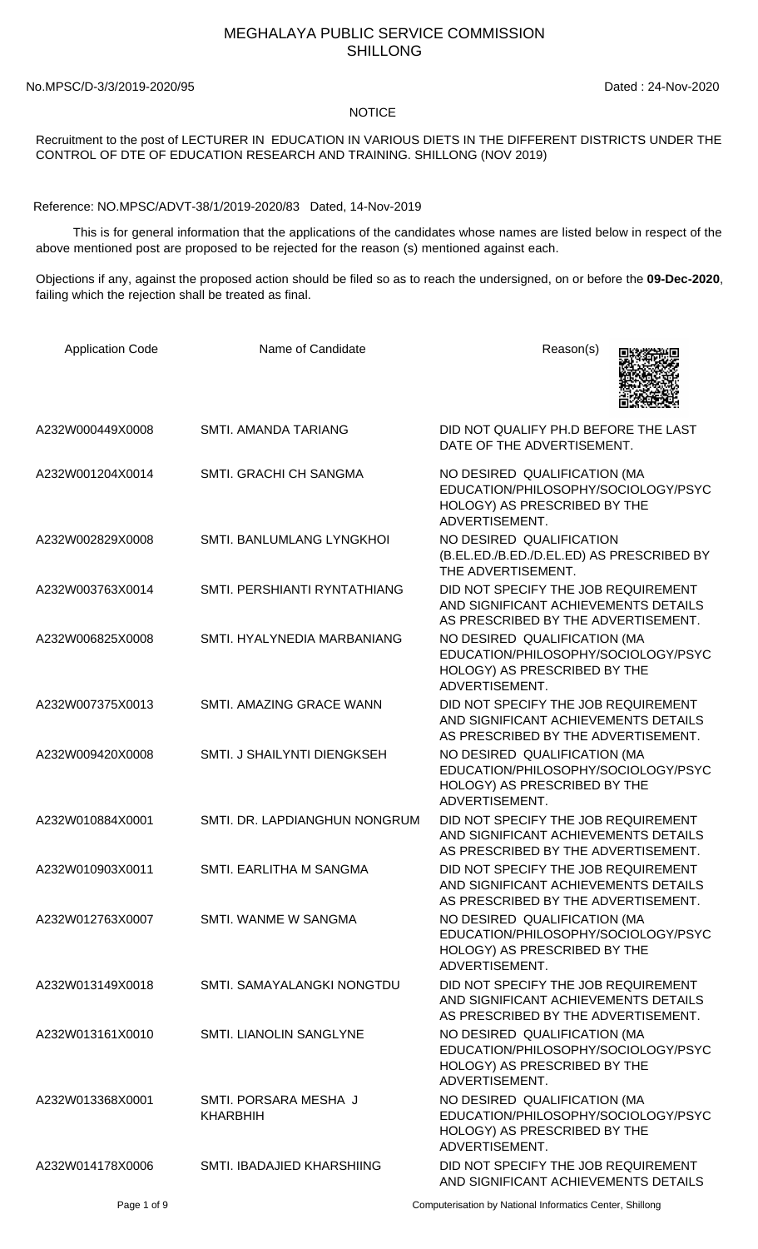## MEGHALAYA PUBLIC SERVICE COMMISSION SHILLONG

No.MPSC/D-3/3/2019-2020/95 Dated : 24-Nov-2020

## **NOTICE**

## Recruitment to the post of LECTURER IN EDUCATION IN VARIOUS DIETS IN THE DIFFERENT DISTRICTS UNDER THE CONTROL OF DTE OF EDUCATION RESEARCH AND TRAINING. SHILLONG (NOV 2019)

Reference: NO.MPSC/ADVT-38/1/2019-2020/83 Dated, 14-Nov-2019

 This is for general information that the applications of the candidates whose names are listed below in respect of the above mentioned post are proposed to be rejected for the reason (s) mentioned against each.

Objections if any, against the proposed action should be filed so as to reach the undersigned, on or before the **09-Dec-2020**, failing which the rejection shall be treated as final.

| <b>Application Code</b> | Name of Candidate                        | Reason(s)                                                                                                             |
|-------------------------|------------------------------------------|-----------------------------------------------------------------------------------------------------------------------|
| A232W000449X0008        | SMTI. AMANDA TARIANG                     | DID NOT QUALIFY PH.D BEFORE THE LAST<br>DATE OF THE ADVERTISEMENT.                                                    |
| A232W001204X0014        | SMTI. GRACHI CH SANGMA                   | NO DESIRED QUALIFICATION (MA<br>EDUCATION/PHILOSOPHY/SOCIOLOGY/PSYC<br>HOLOGY) AS PRESCRIBED BY THE<br>ADVERTISEMENT. |
| A232W002829X0008        | SMTI. BANLUMLANG LYNGKHOI                | NO DESIRED QUALIFICATION<br>(B.EL.ED./B.ED./D.EL.ED) AS PRESCRIBED BY<br>THE ADVERTISEMENT.                           |
| A232W003763X0014        | SMTI. PERSHIANTI RYNTATHIANG             | DID NOT SPECIFY THE JOB REQUIREMENT<br>AND SIGNIFICANT ACHIEVEMENTS DETAILS<br>AS PRESCRIBED BY THE ADVERTISEMENT.    |
| A232W006825X0008        | SMTI. HYALYNEDIA MARBANIANG              | NO DESIRED QUALIFICATION (MA<br>EDUCATION/PHILOSOPHY/SOCIOLOGY/PSYC<br>HOLOGY) AS PRESCRIBED BY THE<br>ADVERTISEMENT. |
| A232W007375X0013        | SMTI. AMAZING GRACE WANN                 | DID NOT SPECIFY THE JOB REQUIREMENT<br>AND SIGNIFICANT ACHIEVEMENTS DETAILS<br>AS PRESCRIBED BY THE ADVERTISEMENT.    |
| A232W009420X0008        | SMTI. J SHAILYNTI DIENGKSEH              | NO DESIRED QUALIFICATION (MA<br>EDUCATION/PHILOSOPHY/SOCIOLOGY/PSYC<br>HOLOGY) AS PRESCRIBED BY THE<br>ADVERTISEMENT. |
| A232W010884X0001        | SMTI. DR. LAPDIANGHUN NONGRUM            | DID NOT SPECIFY THE JOB REQUIREMENT<br>AND SIGNIFICANT ACHIEVEMENTS DETAILS<br>AS PRESCRIBED BY THE ADVERTISEMENT.    |
| A232W010903X0011        | SMTI. EARLITHA M SANGMA                  | DID NOT SPECIFY THE JOB REQUIREMENT<br>AND SIGNIFICANT ACHIEVEMENTS DETAILS<br>AS PRESCRIBED BY THE ADVERTISEMENT.    |
| A232W012763X0007        | SMTI. WANME W SANGMA                     | NO DESIRED QUALIFICATION (MA<br>EDUCATION/PHILOSOPHY/SOCIOLOGY/PSYC<br>HOLOGY) AS PRESCRIBED BY THE<br>ADVERTISEMENT. |
| A232W013149X0018        | SMTI. SAMAYALANGKI NONGTDU               | DID NOT SPECIFY THE JOB REQUIREMENT<br>AND SIGNIFICANT ACHIEVEMENTS DETAILS<br>AS PRESCRIBED BY THE ADVERTISEMENT.    |
| A232W013161X0010        | SMTI. LIANOLIN SANGLYNE                  | NO DESIRED QUALIFICATION (MA<br>EDUCATION/PHILOSOPHY/SOCIOLOGY/PSYC<br>HOLOGY) AS PRESCRIBED BY THE<br>ADVERTISEMENT. |
| A232W013368X0001        | SMTI. PORSARA MESHA J<br><b>KHARBHIH</b> | NO DESIRED QUALIFICATION (MA<br>EDUCATION/PHILOSOPHY/SOCIOLOGY/PSYC<br>HOLOGY) AS PRESCRIBED BY THE<br>ADVERTISEMENT. |
| A232W014178X0006        | SMTI. IBADAJIED KHARSHIING               | DID NOT SPECIFY THE JOB REQUIREMENT<br>AND SIGNIFICANT ACHIEVEMENTS DETAILS                                           |
| Page 1 of 9             |                                          | Computerisation by National Informatics Center, Shillong                                                              |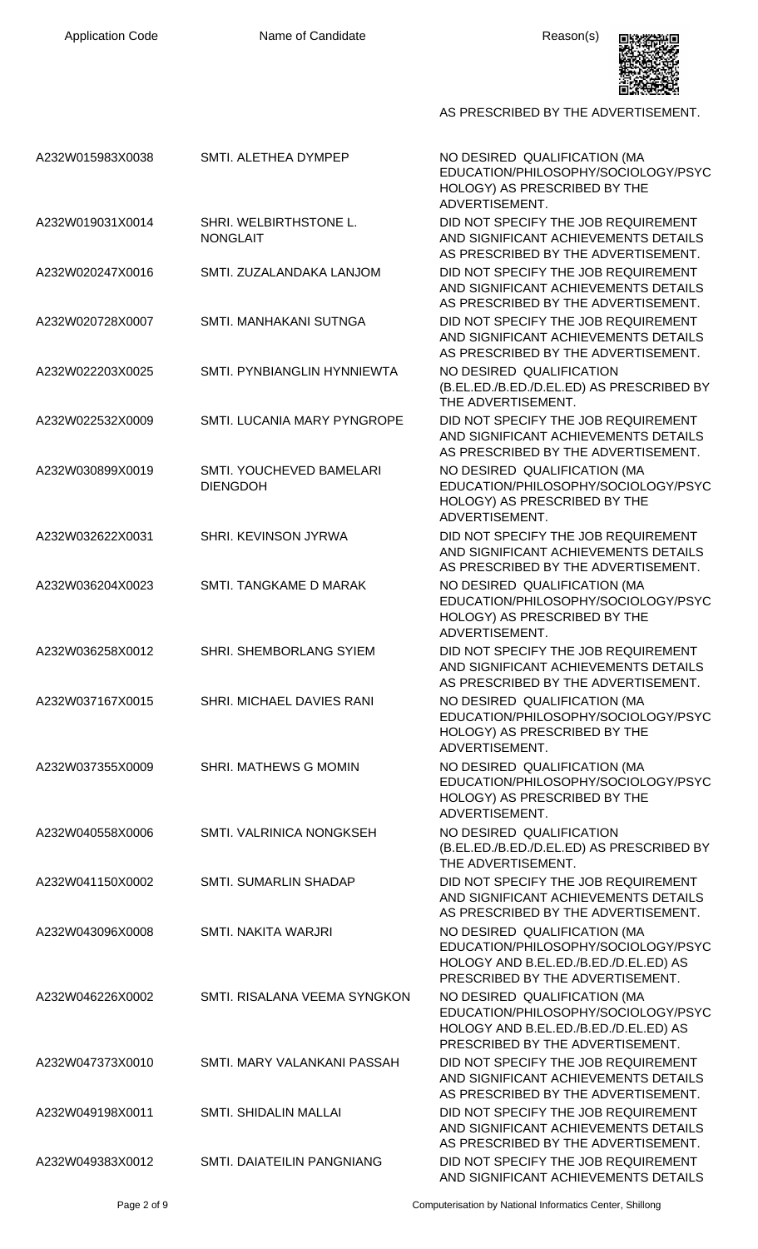

| A232W015983X0038 | SMTI. ALETHEA DYMPEP                        | NO DESIRED QUALIFICATION (MA<br>EDUCATION/PHILOSOPHY/SOCIOLOGY/PSYC<br>HOLOGY) AS PRESCRIBED BY THE<br>ADVERTISEMENT.                            |
|------------------|---------------------------------------------|--------------------------------------------------------------------------------------------------------------------------------------------------|
| A232W019031X0014 | SHRI. WELBIRTHSTONE L.<br><b>NONGLAIT</b>   | DID NOT SPECIFY THE JOB REQUIREMENT<br>AND SIGNIFICANT ACHIEVEMENTS DETAILS<br>AS PRESCRIBED BY THE ADVERTISEMENT.                               |
| A232W020247X0016 | SMTI. ZUZALANDAKA LANJOM                    | DID NOT SPECIFY THE JOB REQUIREMENT<br>AND SIGNIFICANT ACHIEVEMENTS DETAILS<br>AS PRESCRIBED BY THE ADVERTISEMENT.                               |
| A232W020728X0007 | SMTI. MANHAKANI SUTNGA                      | DID NOT SPECIFY THE JOB REQUIREMENT<br>AND SIGNIFICANT ACHIEVEMENTS DETAILS<br>AS PRESCRIBED BY THE ADVERTISEMENT.                               |
| A232W022203X0025 | SMTI. PYNBIANGLIN HYNNIEWTA                 | NO DESIRED QUALIFICATION<br>(B.EL.ED./B.ED./D.EL.ED) AS PRESCRIBED BY<br>THE ADVERTISEMENT.                                                      |
| A232W022532X0009 | SMTI. LUCANIA MARY PYNGROPE                 | DID NOT SPECIFY THE JOB REQUIREMENT<br>AND SIGNIFICANT ACHIEVEMENTS DETAILS<br>AS PRESCRIBED BY THE ADVERTISEMENT.                               |
| A232W030899X0019 | SMTI. YOUCHEVED BAMELARI<br><b>DIENGDOH</b> | NO DESIRED QUALIFICATION (MA<br>EDUCATION/PHILOSOPHY/SOCIOLOGY/PSYC<br>HOLOGY) AS PRESCRIBED BY THE<br>ADVERTISEMENT.                            |
| A232W032622X0031 | SHRI. KEVINSON JYRWA                        | DID NOT SPECIFY THE JOB REQUIREMENT<br>AND SIGNIFICANT ACHIEVEMENTS DETAILS<br>AS PRESCRIBED BY THE ADVERTISEMENT.                               |
| A232W036204X0023 | SMTI. TANGKAME D MARAK                      | NO DESIRED QUALIFICATION (MA<br>EDUCATION/PHILOSOPHY/SOCIOLOGY/PSYC<br>HOLOGY) AS PRESCRIBED BY THE<br>ADVERTISEMENT.                            |
| A232W036258X0012 | SHRI. SHEMBORLANG SYIEM                     | DID NOT SPECIFY THE JOB REQUIREMENT<br>AND SIGNIFICANT ACHIEVEMENTS DETAILS<br>AS PRESCRIBED BY THE ADVERTISEMENT.                               |
| A232W037167X0015 | SHRI. MICHAEL DAVIES RANI                   | NO DESIRED QUALIFICATION (MA<br>EDUCATION/PHILOSOPHY/SOCIOLOGY/PSYC<br>HOLOGY) AS PRESCRIBED BY THE<br>ADVERTISEMENT.                            |
| A232W037355X0009 | SHRI. MATHEWS G MOMIN                       | NO DESIRED QUALIFICATION (MA<br>EDUCATION/PHILOSOPHY/SOCIOLOGY/PSYC<br>HOLOGY) AS PRESCRIBED BY THE<br>ADVERTISEMENT.                            |
| A232W040558X0006 | SMTI. VALRINICA NONGKSEH                    | NO DESIRED QUALIFICATION<br>(B.EL.ED./B.ED./D.EL.ED) AS PRESCRIBED BY<br>THE ADVERTISEMENT.                                                      |
| A232W041150X0002 | SMTI. SUMARLIN SHADAP                       | DID NOT SPECIFY THE JOB REQUIREMENT<br>AND SIGNIFICANT ACHIEVEMENTS DETAILS<br>AS PRESCRIBED BY THE ADVERTISEMENT.                               |
| A232W043096X0008 | SMTI. NAKITA WARJRI                         | NO DESIRED QUALIFICATION (MA<br>EDUCATION/PHILOSOPHY/SOCIOLOGY/PSYC<br>HOLOGY AND B.EL.ED./B.ED./D.EL.ED) AS<br>PRESCRIBED BY THE ADVERTISEMENT. |
| A232W046226X0002 | SMTI. RISALANA VEEMA SYNGKON                | NO DESIRED QUALIFICATION (MA<br>EDUCATION/PHILOSOPHY/SOCIOLOGY/PSYC<br>HOLOGY AND B.EL.ED./B.ED./D.EL.ED) AS<br>PRESCRIBED BY THE ADVERTISEMENT. |
| A232W047373X0010 | SMTI. MARY VALANKANI PASSAH                 | DID NOT SPECIFY THE JOB REQUIREMENT<br>AND SIGNIFICANT ACHIEVEMENTS DETAILS<br>AS PRESCRIBED BY THE ADVERTISEMENT.                               |
| A232W049198X0011 | <b>SMTI. SHIDALIN MALLAI</b>                | DID NOT SPECIFY THE JOB REQUIREMENT<br>AND SIGNIFICANT ACHIEVEMENTS DETAILS<br>AS PRESCRIBED BY THE ADVERTISEMENT.                               |
| A232W049383X0012 | SMTI. DAIATEILIN PANGNIANG                  | DID NOT SPECIFY THE JOB REQUIREMENT<br>AND SIGNIFICANT ACHIEVEMENTS DETAILS                                                                      |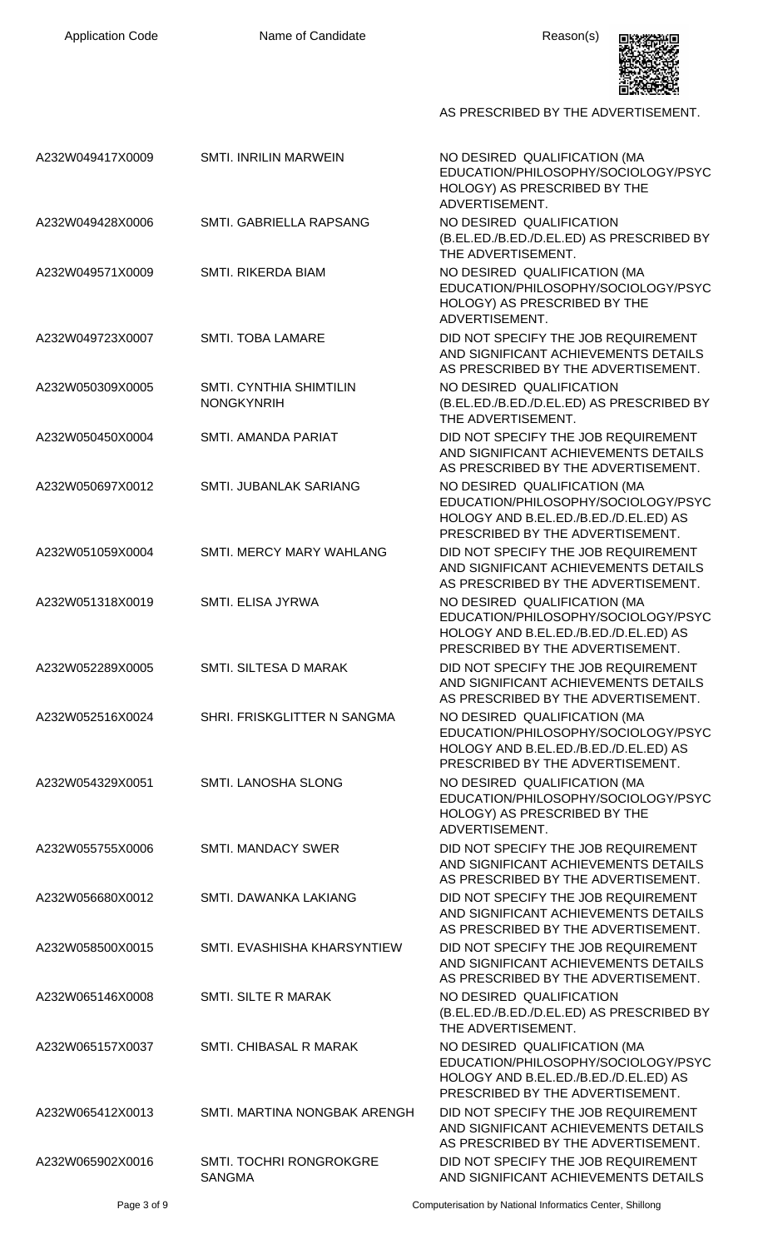

| A232W049417X0009 | <b>SMTI. INRILIN MARWEIN</b>                        | NO DESIRED QUALIFICATION (MA<br>EDUCATION/PHILOSOPHY/SOCIOLOGY/PSYC<br>HOLOGY) AS PRESCRIBED BY THE<br>ADVERTISEMENT.                            |
|------------------|-----------------------------------------------------|--------------------------------------------------------------------------------------------------------------------------------------------------|
| A232W049428X0006 | SMTI, GABRIELLA RAPSANG                             | NO DESIRED QUALIFICATION<br>(B.EL.ED./B.ED./D.EL.ED) AS PRESCRIBED BY<br>THE ADVERTISEMENT.                                                      |
| A232W049571X0009 | <b>SMTI. RIKERDA BIAM</b>                           | NO DESIRED QUALIFICATION (MA<br>EDUCATION/PHILOSOPHY/SOCIOLOGY/PSYC<br>HOLOGY) AS PRESCRIBED BY THE<br>ADVERTISEMENT.                            |
| A232W049723X0007 | <b>SMTI. TOBA LAMARE</b>                            | DID NOT SPECIFY THE JOB REQUIREMENT<br>AND SIGNIFICANT ACHIEVEMENTS DETAILS<br>AS PRESCRIBED BY THE ADVERTISEMENT.                               |
| A232W050309X0005 | <b>SMTI. CYNTHIA SHIMTILIN</b><br><b>NONGKYNRIH</b> | NO DESIRED QUALIFICATION<br>(B.EL.ED./B.ED./D.EL.ED) AS PRESCRIBED BY<br>THE ADVERTISEMENT.                                                      |
| A232W050450X0004 | SMTI. AMANDA PARIAT                                 | DID NOT SPECIFY THE JOB REQUIREMENT<br>AND SIGNIFICANT ACHIEVEMENTS DETAILS<br>AS PRESCRIBED BY THE ADVERTISEMENT.                               |
| A232W050697X0012 | <b>SMTI. JUBANLAK SARIANG</b>                       | NO DESIRED QUALIFICATION (MA<br>EDUCATION/PHILOSOPHY/SOCIOLOGY/PSYC<br>HOLOGY AND B.EL.ED./B.ED./D.EL.ED) AS<br>PRESCRIBED BY THE ADVERTISEMENT. |
| A232W051059X0004 | SMTI. MERCY MARY WAHLANG                            | DID NOT SPECIFY THE JOB REQUIREMENT<br>AND SIGNIFICANT ACHIEVEMENTS DETAILS<br>AS PRESCRIBED BY THE ADVERTISEMENT.                               |
| A232W051318X0019 | SMTI. ELISA JYRWA                                   | NO DESIRED QUALIFICATION (MA<br>EDUCATION/PHILOSOPHY/SOCIOLOGY/PSYC<br>HOLOGY AND B.EL.ED./B.ED./D.EL.ED) AS<br>PRESCRIBED BY THE ADVERTISEMENT. |
| A232W052289X0005 | SMTI. SILTESA D MARAK                               | DID NOT SPECIFY THE JOB REQUIREMENT<br>AND SIGNIFICANT ACHIEVEMENTS DETAILS<br>AS PRESCRIBED BY THE ADVERTISEMENT.                               |
| A232W052516X0024 | SHRI. FRISKGLITTER N SANGMA                         | NO DESIRED QUALIFICATION (MA<br>EDUCATION/PHILOSOPHY/SOCIOLOGY/PSYC<br>HOLOGY AND B.EL.ED./B.ED./D.EL.ED) AS<br>PRESCRIBED BY THE ADVERTISEMENT. |
| A232W054329X0051 | <b>SMTI. LANOSHA SLONG</b>                          | NO DESIRED QUALIFICATION (MA<br>EDUCATION/PHILOSOPHY/SOCIOLOGY/PSYC<br>HOLOGY) AS PRESCRIBED BY THE<br>ADVERTISEMENT.                            |
| A232W055755X0006 | <b>SMTI. MANDACY SWER</b>                           | DID NOT SPECIFY THE JOB REQUIREMENT<br>AND SIGNIFICANT ACHIEVEMENTS DETAILS<br>AS PRESCRIBED BY THE ADVERTISEMENT.                               |
| A232W056680X0012 | SMTI. DAWANKA LAKIANG                               | DID NOT SPECIFY THE JOB REQUIREMENT<br>AND SIGNIFICANT ACHIEVEMENTS DETAILS<br>AS PRESCRIBED BY THE ADVERTISEMENT.                               |
| A232W058500X0015 | SMTI. EVASHISHA KHARSYNTIEW                         | DID NOT SPECIFY THE JOB REQUIREMENT<br>AND SIGNIFICANT ACHIEVEMENTS DETAILS<br>AS PRESCRIBED BY THE ADVERTISEMENT.                               |
| A232W065146X0008 | <b>SMTI. SILTE R MARAK</b>                          | NO DESIRED QUALIFICATION<br>(B.EL.ED./B.ED./D.EL.ED) AS PRESCRIBED BY<br>THE ADVERTISEMENT.                                                      |
| A232W065157X0037 | SMTI. CHIBASAL R MARAK                              | NO DESIRED QUALIFICATION (MA<br>EDUCATION/PHILOSOPHY/SOCIOLOGY/PSYC<br>HOLOGY AND B.EL.ED./B.ED./D.EL.ED) AS<br>PRESCRIBED BY THE ADVERTISEMENT. |
| A232W065412X0013 | SMTI. MARTINA NONGBAK ARENGH                        | DID NOT SPECIFY THE JOB REQUIREMENT<br>AND SIGNIFICANT ACHIEVEMENTS DETAILS<br>AS PRESCRIBED BY THE ADVERTISEMENT.                               |
| A232W065902X0016 | SMTI. TOCHRI RONGROKGRE<br><b>SANGMA</b>            | DID NOT SPECIFY THE JOB REQUIREMENT<br>AND SIGNIFICANT ACHIEVEMENTS DETAILS                                                                      |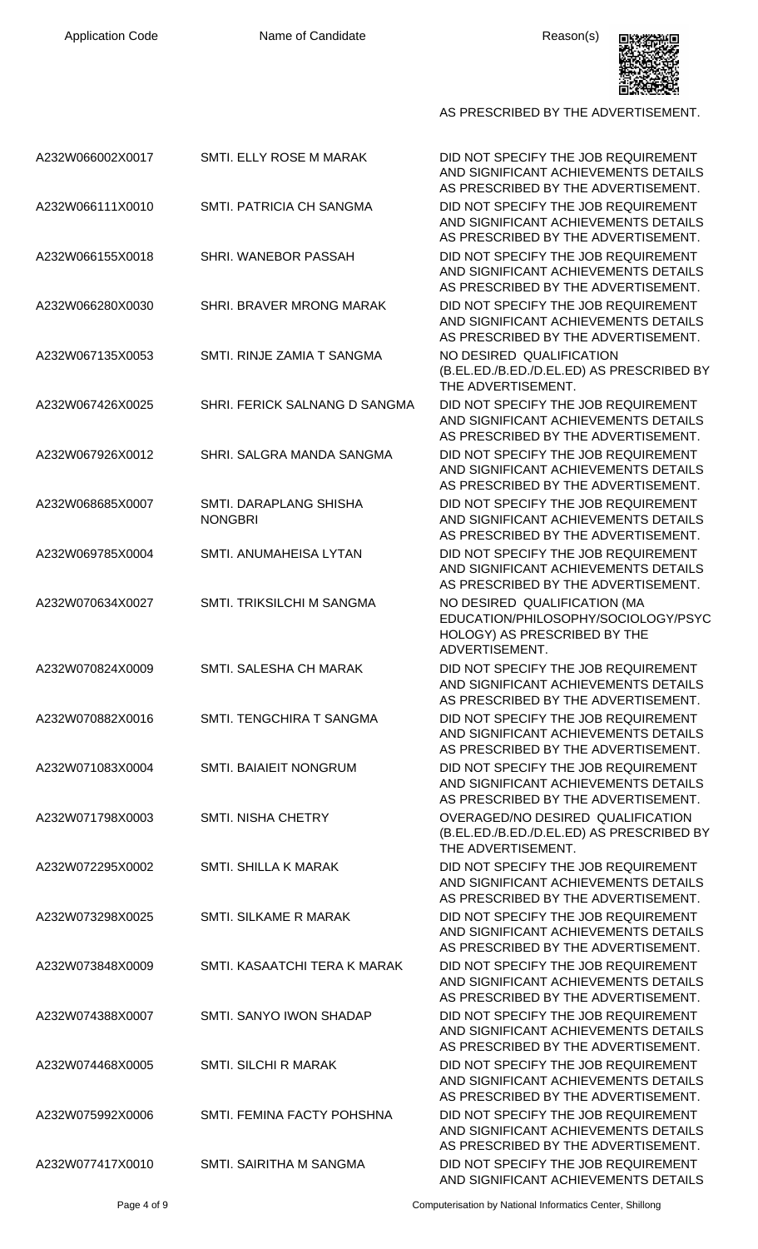

| A232W066002X0017 | SMTI. ELLY ROSE M MARAK                  | DID NOT SPECIFY THE JOB REQUIREMENT<br>AND SIGNIFICANT ACHIEVEMENTS DETAILS<br>AS PRESCRIBED BY THE ADVERTISEMENT.    |
|------------------|------------------------------------------|-----------------------------------------------------------------------------------------------------------------------|
| A232W066111X0010 | SMTI. PATRICIA CH SANGMA                 | DID NOT SPECIFY THE JOB REQUIREMENT<br>AND SIGNIFICANT ACHIEVEMENTS DETAILS<br>AS PRESCRIBED BY THE ADVERTISEMENT.    |
| A232W066155X0018 | SHRI. WANEBOR PASSAH                     | DID NOT SPECIFY THE JOB REQUIREMENT<br>AND SIGNIFICANT ACHIEVEMENTS DETAILS<br>AS PRESCRIBED BY THE ADVERTISEMENT.    |
| A232W066280X0030 | SHRI. BRAVER MRONG MARAK                 | DID NOT SPECIFY THE JOB REQUIREMENT<br>AND SIGNIFICANT ACHIEVEMENTS DETAILS<br>AS PRESCRIBED BY THE ADVERTISEMENT.    |
| A232W067135X0053 | SMTI. RINJE ZAMIA T SANGMA               | NO DESIRED QUALIFICATION<br>(B.EL.ED./B.ED./D.EL.ED) AS PRESCRIBED BY<br>THE ADVERTISEMENT.                           |
| A232W067426X0025 | SHRI. FERICK SALNANG D SANGMA            | DID NOT SPECIFY THE JOB REQUIREMENT<br>AND SIGNIFICANT ACHIEVEMENTS DETAILS<br>AS PRESCRIBED BY THE ADVERTISEMENT.    |
| A232W067926X0012 | SHRI. SALGRA MANDA SANGMA                | DID NOT SPECIFY THE JOB REQUIREMENT<br>AND SIGNIFICANT ACHIEVEMENTS DETAILS<br>AS PRESCRIBED BY THE ADVERTISEMENT.    |
| A232W068685X0007 | SMTI. DARAPLANG SHISHA<br><b>NONGBRI</b> | DID NOT SPECIFY THE JOB REQUIREMENT<br>AND SIGNIFICANT ACHIEVEMENTS DETAILS<br>AS PRESCRIBED BY THE ADVERTISEMENT.    |
| A232W069785X0004 | SMTI. ANUMAHEISA LYTAN                   | DID NOT SPECIFY THE JOB REQUIREMENT<br>AND SIGNIFICANT ACHIEVEMENTS DETAILS<br>AS PRESCRIBED BY THE ADVERTISEMENT.    |
| A232W070634X0027 | <b>SMTI. TRIKSILCHI M SANGMA</b>         | NO DESIRED QUALIFICATION (MA<br>EDUCATION/PHILOSOPHY/SOCIOLOGY/PSYC<br>HOLOGY) AS PRESCRIBED BY THE<br>ADVERTISEMENT. |
| A232W070824X0009 | SMTI. SALESHA CH MARAK                   | DID NOT SPECIFY THE JOB REQUIREMENT<br>AND SIGNIFICANT ACHIEVEMENTS DETAILS<br>AS PRESCRIBED BY THE ADVERTISEMENT.    |
| A232W070882X0016 | SMTI. TENGCHIRA T SANGMA                 | DID NOT SPECIFY THE JOB REQUIREMENT<br>AND SIGNIFICANT ACHIEVEMENTS DETAILS<br>AS PRESCRIBED BY THE ADVERTISEMENT.    |
| A232W071083X0004 | SMTI. BAIAIEIT NONGRUM                   | DID NOT SPECIFY THE JOB REQUIREMENT<br>AND SIGNIFICANT ACHIEVEMENTS DETAILS<br>AS PRESCRIBED BY THE ADVERTISEMENT.    |
| A232W071798X0003 | <b>SMTI. NISHA CHETRY</b>                | OVERAGED/NO DESIRED QUALIFICATION<br>(B.EL.ED./B.ED./D.EL.ED) AS PRESCRIBED BY<br>THE ADVERTISEMENT.                  |
| A232W072295X0002 | <b>SMTI. SHILLA K MARAK</b>              | DID NOT SPECIFY THE JOB REQUIREMENT<br>AND SIGNIFICANT ACHIEVEMENTS DETAILS<br>AS PRESCRIBED BY THE ADVERTISEMENT.    |
| A232W073298X0025 | SMTI. SILKAME R MARAK                    | DID NOT SPECIFY THE JOB REQUIREMENT<br>AND SIGNIFICANT ACHIEVEMENTS DETAILS<br>AS PRESCRIBED BY THE ADVERTISEMENT.    |
| A232W073848X0009 | SMTI, KASAATCHI TERA K MARAK             | DID NOT SPECIFY THE JOB REQUIREMENT<br>AND SIGNIFICANT ACHIEVEMENTS DETAILS<br>AS PRESCRIBED BY THE ADVERTISEMENT.    |
| A232W074388X0007 | SMTI. SANYO IWON SHADAP                  | DID NOT SPECIFY THE JOB REQUIREMENT<br>AND SIGNIFICANT ACHIEVEMENTS DETAILS<br>AS PRESCRIBED BY THE ADVERTISEMENT.    |
| A232W074468X0005 | <b>SMTI. SILCHI R MARAK</b>              | DID NOT SPECIFY THE JOB REQUIREMENT<br>AND SIGNIFICANT ACHIEVEMENTS DETAILS<br>AS PRESCRIBED BY THE ADVERTISEMENT.    |
| A232W075992X0006 | SMTI. FEMINA FACTY POHSHNA               | DID NOT SPECIFY THE JOB REQUIREMENT<br>AND SIGNIFICANT ACHIEVEMENTS DETAILS<br>AS PRESCRIBED BY THE ADVERTISEMENT.    |
| A232W077417X0010 | SMTI. SAIRITHA M SANGMA                  | DID NOT SPECIFY THE JOB REQUIREMENT<br>AND SIGNIFICANT ACHIEVEMENTS DETAILS                                           |

Page 4 of 9 Computerisation by National Informatics Center, Shillong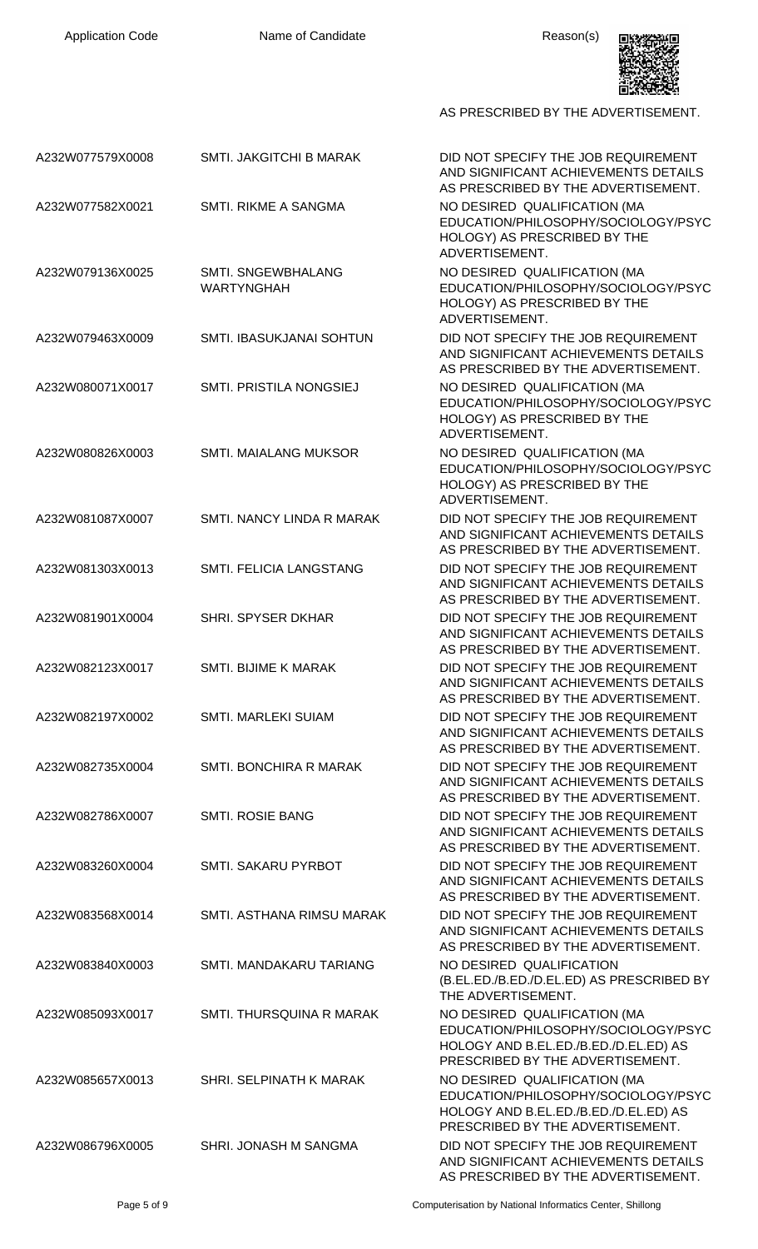

| A232W077579X0008 | SMTI. JAKGITCHI B MARAK                 | DID NOT SPECIFY THE JOB REQUIREMENT<br>AND SIGNIFICANT ACHIEVEMENTS DETAILS<br>AS PRESCRIBED BY THE ADVERTISEMENT.                               |
|------------------|-----------------------------------------|--------------------------------------------------------------------------------------------------------------------------------------------------|
| A232W077582X0021 | SMTI. RIKME A SANGMA                    | NO DESIRED QUALIFICATION (MA<br>EDUCATION/PHILOSOPHY/SOCIOLOGY/PSYC<br>HOLOGY) AS PRESCRIBED BY THE<br>ADVERTISEMENT.                            |
| A232W079136X0025 | SMTI. SNGEWBHALANG<br><b>WARTYNGHAH</b> | NO DESIRED QUALIFICATION (MA<br>EDUCATION/PHILOSOPHY/SOCIOLOGY/PSYC<br>HOLOGY) AS PRESCRIBED BY THE<br>ADVERTISEMENT.                            |
| A232W079463X0009 | SMTI. IBASUKJANAI SOHTUN                | DID NOT SPECIFY THE JOB REQUIREMENT<br>AND SIGNIFICANT ACHIEVEMENTS DETAILS<br>AS PRESCRIBED BY THE ADVERTISEMENT.                               |
| A232W080071X0017 | SMTI. PRISTILA NONGSIEJ                 | NO DESIRED QUALIFICATION (MA<br>EDUCATION/PHILOSOPHY/SOCIOLOGY/PSYC<br>HOLOGY) AS PRESCRIBED BY THE<br>ADVERTISEMENT.                            |
| A232W080826X0003 | <b>SMTI. MAIALANG MUKSOR</b>            | NO DESIRED QUALIFICATION (MA<br>EDUCATION/PHILOSOPHY/SOCIOLOGY/PSYC<br>HOLOGY) AS PRESCRIBED BY THE<br>ADVERTISEMENT.                            |
| A232W081087X0007 | SMTI, NANCY LINDA R MARAK               | DID NOT SPECIFY THE JOB REQUIREMENT<br>AND SIGNIFICANT ACHIEVEMENTS DETAILS<br>AS PRESCRIBED BY THE ADVERTISEMENT.                               |
| A232W081303X0013 | SMTI. FELICIA LANGSTANG                 | DID NOT SPECIFY THE JOB REQUIREMENT<br>AND SIGNIFICANT ACHIEVEMENTS DETAILS<br>AS PRESCRIBED BY THE ADVERTISEMENT.                               |
| A232W081901X0004 | SHRI. SPYSER DKHAR                      | DID NOT SPECIFY THE JOB REQUIREMENT<br>AND SIGNIFICANT ACHIEVEMENTS DETAILS<br>AS PRESCRIBED BY THE ADVERTISEMENT.                               |
| A232W082123X0017 | <b>SMTI. BIJIME K MARAK</b>             | DID NOT SPECIFY THE JOB REQUIREMENT<br>AND SIGNIFICANT ACHIEVEMENTS DETAILS<br>AS PRESCRIBED BY THE ADVERTISEMENT.                               |
| A232W082197X0002 | <b>SMTI. MARLEKI SUIAM</b>              | DID NOT SPECIFY THE JOB REQUIREMENT<br>AND SIGNIFICANT ACHIEVEMENTS DETAILS<br>AS PRESCRIBED BY THE ADVERTISEMENT.                               |
| A232W082735X0004 | SMTI. BONCHIRA R MARAK                  | DID NOT SPECIFY THE JOB REQUIREMENT<br>AND SIGNIFICANT ACHIEVEMENTS DETAILS<br>AS PRESCRIBED BY THE ADVERTISEMENT.                               |
| A232W082786X0007 | <b>SMTI. ROSIE BANG</b>                 | DID NOT SPECIFY THE JOB REQUIREMENT<br>AND SIGNIFICANT ACHIEVEMENTS DETAILS<br>AS PRESCRIBED BY THE ADVERTISEMENT.                               |
| A232W083260X0004 | SMTI. SAKARU PYRBOT                     | DID NOT SPECIFY THE JOB REQUIREMENT<br>AND SIGNIFICANT ACHIEVEMENTS DETAILS<br>AS PRESCRIBED BY THE ADVERTISEMENT.                               |
| A232W083568X0014 | SMTI. ASTHANA RIMSU MARAK               | DID NOT SPECIFY THE JOB REQUIREMENT<br>AND SIGNIFICANT ACHIEVEMENTS DETAILS<br>AS PRESCRIBED BY THE ADVERTISEMENT.                               |
| A232W083840X0003 | SMTI. MANDAKARU TARIANG                 | NO DESIRED QUALIFICATION<br>(B.EL.ED./B.ED./D.EL.ED) AS PRESCRIBED BY<br>THE ADVERTISEMENT.                                                      |
| A232W085093X0017 | SMTI. THURSQUINA R MARAK                | NO DESIRED QUALIFICATION (MA<br>EDUCATION/PHILOSOPHY/SOCIOLOGY/PSYC<br>HOLOGY AND B.EL.ED./B.ED./D.EL.ED) AS<br>PRESCRIBED BY THE ADVERTISEMENT. |
| A232W085657X0013 | SHRI. SELPINATH K MARAK                 | NO DESIRED QUALIFICATION (MA<br>EDUCATION/PHILOSOPHY/SOCIOLOGY/PSYC<br>HOLOGY AND B.EL.ED./B.ED./D.EL.ED) AS<br>PRESCRIBED BY THE ADVERTISEMENT. |
| A232W086796X0005 | SHRI. JONASH M SANGMA                   | DID NOT SPECIFY THE JOB REQUIREMENT<br>AND SIGNIFICANT ACHIEVEMENTS DETAILS<br>AS PRESCRIBED BY THE ADVERTISEMENT.                               |

Page 5 of 9 Computerisation by National Informatics Center, Shillong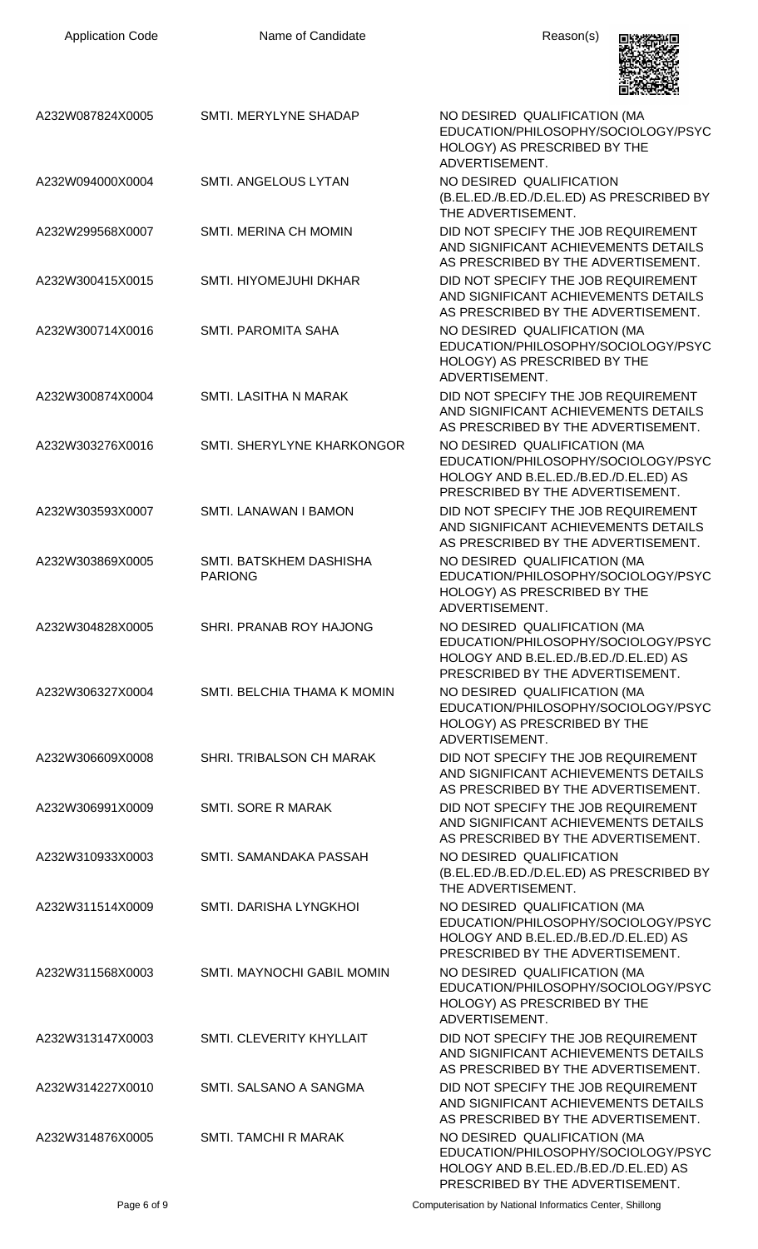| <b>Application Code</b> | Name of Candidate                         | Reason(s)                                                                                                                                        |
|-------------------------|-------------------------------------------|--------------------------------------------------------------------------------------------------------------------------------------------------|
| A232W087824X0005        | SMTI. MERYLYNE SHADAP                     | NO DESIRED QUALIFICATION (MA<br>EDUCATION/PHILOSOPHY/SOCIOLOGY/PSYC<br>HOLOGY) AS PRESCRIBED BY THE<br>ADVERTISEMENT.                            |
| A232W094000X0004        | SMTI. ANGELOUS LYTAN                      | NO DESIRED QUALIFICATION<br>(B.EL.ED./B.ED./D.EL.ED) AS PRESCRIBED BY<br>THE ADVERTISEMENT.                                                      |
| A232W299568X0007        | SMTI. MERINA CH MOMIN                     | DID NOT SPECIFY THE JOB REQUIREMENT<br>AND SIGNIFICANT ACHIEVEMENTS DETAILS<br>AS PRESCRIBED BY THE ADVERTISEMENT.                               |
| A232W300415X0015        | SMTI. HIYOMEJUHI DKHAR                    | DID NOT SPECIFY THE JOB REQUIREMENT<br>AND SIGNIFICANT ACHIEVEMENTS DETAILS<br>AS PRESCRIBED BY THE ADVERTISEMENT.                               |
| A232W300714X0016        | SMTI. PAROMITA SAHA                       | NO DESIRED QUALIFICATION (MA<br>EDUCATION/PHILOSOPHY/SOCIOLOGY/PSYC<br>HOLOGY) AS PRESCRIBED BY THE<br>ADVERTISEMENT.                            |
| A232W300874X0004        | SMTI. LASITHA N MARAK                     | DID NOT SPECIFY THE JOB REQUIREMENT<br>AND SIGNIFICANT ACHIEVEMENTS DETAILS<br>AS PRESCRIBED BY THE ADVERTISEMENT.                               |
| A232W303276X0016        | SMTI. SHERYLYNE KHARKONGOR                | NO DESIRED QUALIFICATION (MA<br>EDUCATION/PHILOSOPHY/SOCIOLOGY/PSYC<br>HOLOGY AND B.EL.ED./B.ED./D.EL.ED) AS<br>PRESCRIBED BY THE ADVERTISEMENT. |
| A232W303593X0007        | SMTI. LANAWAN I BAMON                     | DID NOT SPECIFY THE JOB REQUIREMENT<br>AND SIGNIFICANT ACHIEVEMENTS DETAILS<br>AS PRESCRIBED BY THE ADVERTISEMENT.                               |
| A232W303869X0005        | SMTI. BATSKHEM DASHISHA<br><b>PARIONG</b> | NO DESIRED QUALIFICATION (MA<br>EDUCATION/PHILOSOPHY/SOCIOLOGY/PSYC<br>HOLOGY) AS PRESCRIBED BY THE<br>ADVERTISEMENT.                            |
| A232W304828X0005        | SHRI. PRANAB ROY HAJONG                   | NO DESIRED QUALIFICATION (MA<br>EDUCATION/PHILOSOPHY/SOCIOLOGY/PSYC<br>HOLOGY AND B.EL.ED./B.ED./D.EL.ED) AS<br>PRESCRIBED BY THE ADVERTISEMENT. |
| A232W306327X0004        | SMTI. BELCHIA THAMA K MOMIN               | NO DESIRED QUALIFICATION (MA<br>EDUCATION/PHILOSOPHY/SOCIOLOGY/PSYC<br>HOLOGY) AS PRESCRIBED BY THE<br>ADVERTISEMENT.                            |
| A232W306609X0008        | SHRI. TRIBALSON CH MARAK                  | DID NOT SPECIFY THE JOB REQUIREMENT<br>AND SIGNIFICANT ACHIEVEMENTS DETAILS<br>AS PRESCRIBED BY THE ADVERTISEMENT.                               |
| A232W306991X0009        | SMTI. SORE R MARAK                        | DID NOT SPECIFY THE JOB REQUIREMENT<br>AND SIGNIFICANT ACHIEVEMENTS DETAILS<br>AS PRESCRIBED BY THE ADVERTISEMENT.                               |
| A232W310933X0003        | SMTI. SAMANDAKA PASSAH                    | NO DESIRED QUALIFICATION<br>(B.EL.ED./B.ED./D.EL.ED) AS PRESCRIBED BY<br>THE ADVERTISEMENT.                                                      |
| A232W311514X0009        | SMTI. DARISHA LYNGKHOI                    | NO DESIRED QUALIFICATION (MA<br>EDUCATION/PHILOSOPHY/SOCIOLOGY/PSYC<br>HOLOGY AND B.EL.ED./B.ED./D.EL.ED) AS<br>PRESCRIBED BY THE ADVERTISEMENT. |
| A232W311568X0003        | SMTI. MAYNOCHI GABIL MOMIN                | NO DESIRED QUALIFICATION (MA<br>EDUCATION/PHILOSOPHY/SOCIOLOGY/PSYC<br>HOLOGY) AS PRESCRIBED BY THE<br>ADVERTISEMENT.                            |
| A232W313147X0003        | SMTI. CLEVERITY KHYLLAIT                  | DID NOT SPECIFY THE JOB REQUIREMENT<br>AND SIGNIFICANT ACHIEVEMENTS DETAILS<br>AS PRESCRIBED BY THE ADVERTISEMENT.                               |
| A232W314227X0010        | SMTI. SALSANO A SANGMA                    | DID NOT SPECIFY THE JOB REQUIREMENT<br>AND SIGNIFICANT ACHIEVEMENTS DETAILS<br>AS PRESCRIBED BY THE ADVERTISEMENT.                               |
| A232W314876X0005        | SMTI. TAMCHI R MARAK                      | NO DESIRED QUALIFICATION (MA<br>EDUCATION/PHILOSOPHY/SOCIOLOGY/PSYC<br>HOLOGY AND B.EL.ED./B.ED./D.EL.ED) AS<br>PRESCRIBED BY THE ADVERTISEMENT. |

Page 6 of 9 Computerisation by National Informatics Center, Shillong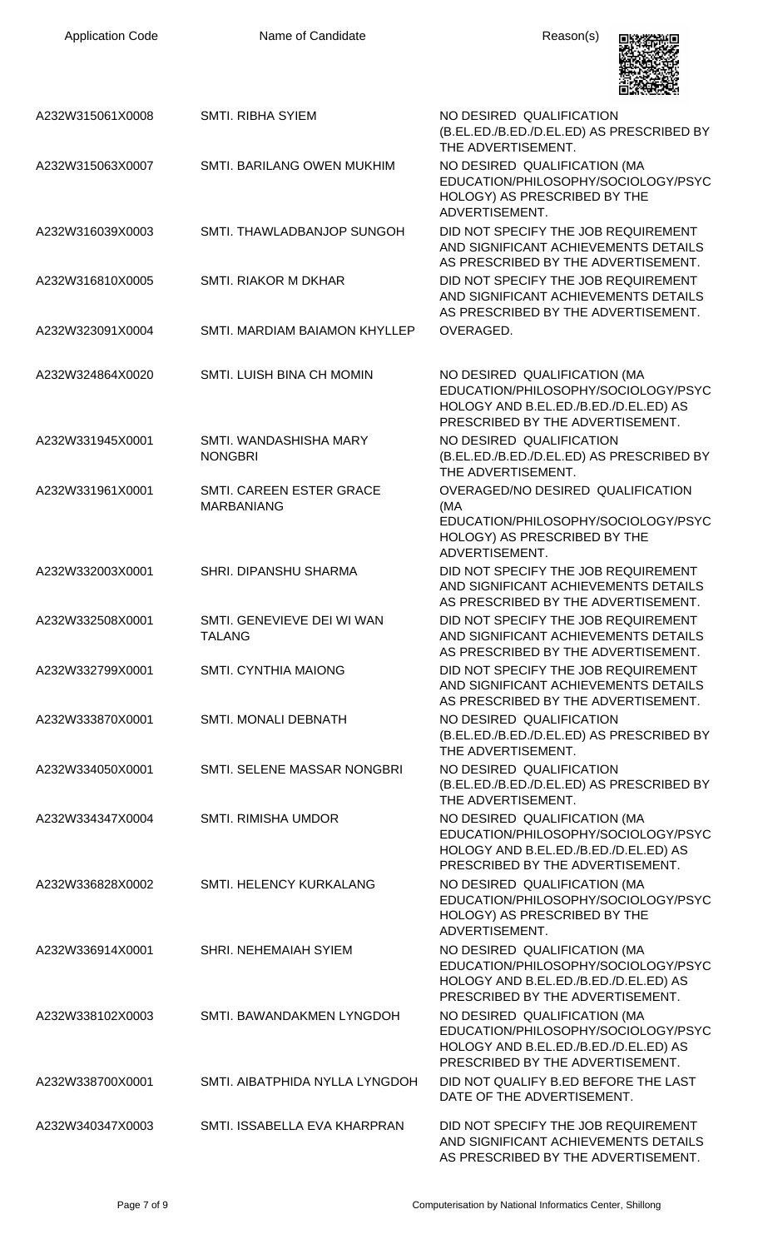| <b>Application Code</b> | Name of Candidate                             | Reason(s)                                                                                                                                        |
|-------------------------|-----------------------------------------------|--------------------------------------------------------------------------------------------------------------------------------------------------|
| A232W315061X0008        | <b>SMTI. RIBHA SYIEM</b>                      | NO DESIRED QUALIFICATION<br>(B.EL.ED./B.ED./D.EL.ED) AS PRESCRIBED BY<br>THE ADVERTISEMENT.                                                      |
| A232W315063X0007        | SMTI. BARILANG OWEN MUKHIM                    | NO DESIRED QUALIFICATION (MA<br>EDUCATION/PHILOSOPHY/SOCIOLOGY/PSYC<br>HOLOGY) AS PRESCRIBED BY THE<br>ADVERTISEMENT.                            |
| A232W316039X0003        | SMTI. THAWLADBANJOP SUNGOH                    | DID NOT SPECIFY THE JOB REQUIREMENT<br>AND SIGNIFICANT ACHIEVEMENTS DETAILS<br>AS PRESCRIBED BY THE ADVERTISEMENT.                               |
| A232W316810X0005        | SMTI. RIAKOR M DKHAR                          | DID NOT SPECIFY THE JOB REQUIREMENT<br>AND SIGNIFICANT ACHIEVEMENTS DETAILS<br>AS PRESCRIBED BY THE ADVERTISEMENT.                               |
| A232W323091X0004        | SMTI. MARDIAM BAIAMON KHYLLEP                 | OVERAGED.                                                                                                                                        |
| A232W324864X0020        | SMTI. LUISH BINA CH MOMIN                     | NO DESIRED QUALIFICATION (MA<br>EDUCATION/PHILOSOPHY/SOCIOLOGY/PSYC<br>HOLOGY AND B.EL.ED./B.ED./D.EL.ED) AS<br>PRESCRIBED BY THE ADVERTISEMENT. |
| A232W331945X0001        | SMTI. WANDASHISHA MARY<br><b>NONGBRI</b>      | NO DESIRED QUALIFICATION<br>(B.EL.ED./B.ED./D.EL.ED) AS PRESCRIBED BY<br>THE ADVERTISEMENT.                                                      |
| A232W331961X0001        | SMTI. CAREEN ESTER GRACE<br><b>MARBANIANG</b> | OVERAGED/NO DESIRED QUALIFICATION<br>(MA<br>EDUCATION/PHILOSOPHY/SOCIOLOGY/PSYC<br>HOLOGY) AS PRESCRIBED BY THE<br>ADVERTISEMENT.                |
| A232W332003X0001        | <b>SHRI. DIPANSHU SHARMA</b>                  | DID NOT SPECIFY THE JOB REQUIREMENT<br>AND SIGNIFICANT ACHIEVEMENTS DETAILS<br>AS PRESCRIBED BY THE ADVERTISEMENT.                               |
| A232W332508X0001        | SMTI. GENEVIEVE DEI WI WAN<br><b>TALANG</b>   | DID NOT SPECIFY THE JOB REQUIREMENT<br>AND SIGNIFICANT ACHIEVEMENTS DETAILS<br>AS PRESCRIBED BY THE ADVERTISEMENT.                               |
| A232W332799X0001        | <b>SMTI. CYNTHIA MAIONG</b>                   | DID NOT SPECIFY THE JOB REQUIREMENT<br>AND SIGNIFICANT ACHIEVEMENTS DETAILS<br>AS PRESCRIBED BY THE ADVERTISEMENT.                               |
| A232W333870X0001        | <b>SMTI. MONALI DEBNATH</b>                   | NO DESIRED QUALIFICATION<br>(B.EL.ED./B.ED./D.EL.ED) AS PRESCRIBED BY<br>THE ADVERTISEMENT.                                                      |
| A232W334050X0001        | SMTI. SELENE MASSAR NONGBRI                   | NO DESIRED QUALIFICATION<br>(B.EL.ED./B.ED./D.EL.ED) AS PRESCRIBED BY<br>THE ADVERTISEMENT.                                                      |
| A232W334347X0004        | <b>SMTI. RIMISHA UMDOR</b>                    | NO DESIRED QUALIFICATION (MA<br>EDUCATION/PHILOSOPHY/SOCIOLOGY/PSYC<br>HOLOGY AND B.EL.ED./B.ED./D.EL.ED) AS<br>PRESCRIBED BY THE ADVERTISEMENT. |
| A232W336828X0002        | SMTI. HELENCY KURKALANG                       | NO DESIRED QUALIFICATION (MA<br>EDUCATION/PHILOSOPHY/SOCIOLOGY/PSYC<br>HOLOGY) AS PRESCRIBED BY THE<br>ADVERTISEMENT.                            |
| A232W336914X0001        | SHRI. NEHEMAIAH SYIEM                         | NO DESIRED QUALIFICATION (MA<br>EDUCATION/PHILOSOPHY/SOCIOLOGY/PSYC<br>HOLOGY AND B.EL.ED./B.ED./D.EL.ED) AS<br>PRESCRIBED BY THE ADVERTISEMENT. |
| A232W338102X0003        | SMTI. BAWANDAKMEN LYNGDOH                     | NO DESIRED QUALIFICATION (MA<br>EDUCATION/PHILOSOPHY/SOCIOLOGY/PSYC<br>HOLOGY AND B.EL.ED./B.ED./D.EL.ED) AS<br>PRESCRIBED BY THE ADVERTISEMENT. |
| A232W338700X0001        | SMTI. AIBATPHIDA NYLLA LYNGDOH                | DID NOT QUALIFY B.ED BEFORE THE LAST<br>DATE OF THE ADVERTISEMENT.                                                                               |
| A232W340347X0003        | SMTI. ISSABELLA EVA KHARPRAN                  | DID NOT SPECIFY THE JOB REQUIREMENT<br>AND SIGNIFICANT ACHIEVEMENTS DETAILS<br>AS PRESCRIBED BY THE ADVERTISEMENT.                               |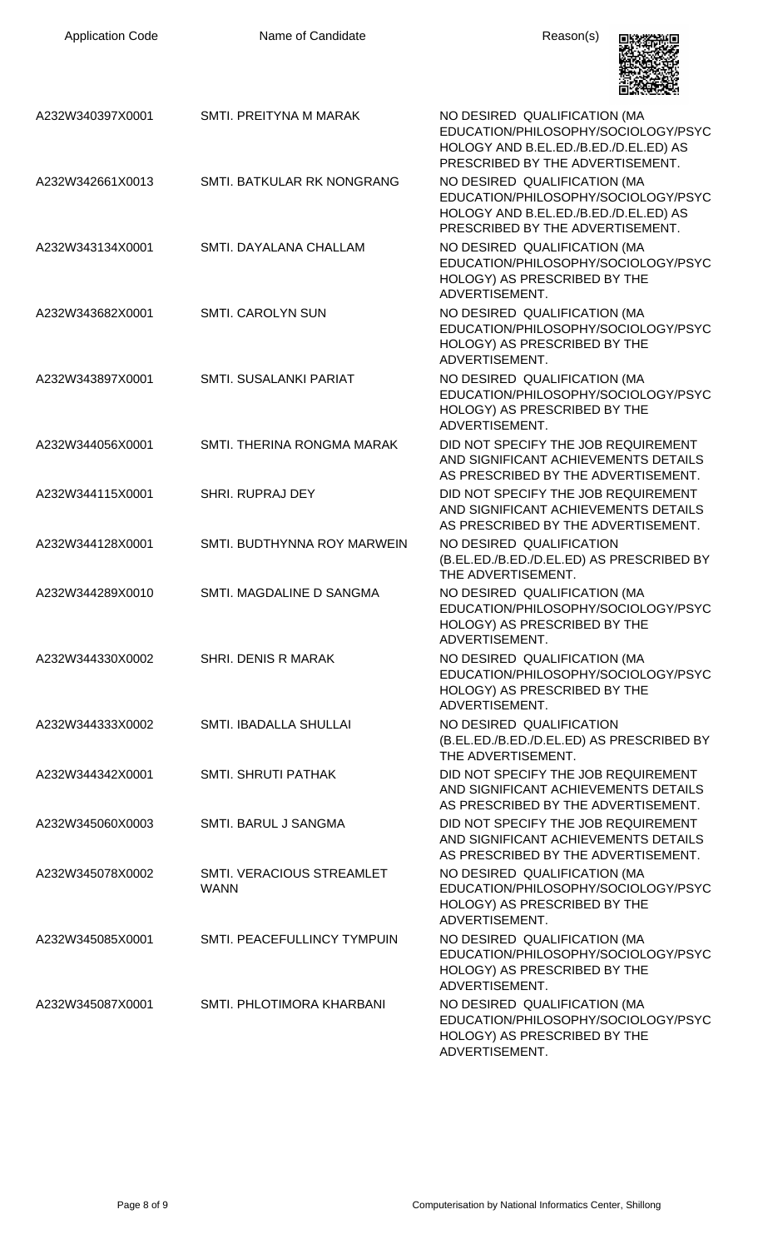| <b>Application Code</b> | Name of Candidate                        | Reason(s)                                                                                                                                        |
|-------------------------|------------------------------------------|--------------------------------------------------------------------------------------------------------------------------------------------------|
| A232W340397X0001        | SMTI. PREITYNA M MARAK                   | NO DESIRED QUALIFICATION (MA<br>EDUCATION/PHILOSOPHY/SOCIOLOGY/PSYC<br>HOLOGY AND B.EL.ED./B.ED./D.EL.ED) AS<br>PRESCRIBED BY THE ADVERTISEMENT. |
| A232W342661X0013        | SMTI. BATKULAR RK NONGRANG               | NO DESIRED QUALIFICATION (MA<br>EDUCATION/PHILOSOPHY/SOCIOLOGY/PSYC<br>HOLOGY AND B.EL.ED./B.ED./D.EL.ED) AS<br>PRESCRIBED BY THE ADVERTISEMENT. |
| A232W343134X0001        | SMTI. DAYALANA CHALLAM                   | NO DESIRED QUALIFICATION (MA<br>EDUCATION/PHILOSOPHY/SOCIOLOGY/PSYC<br>HOLOGY) AS PRESCRIBED BY THE<br>ADVERTISEMENT.                            |
| A232W343682X0001        | <b>SMTI. CAROLYN SUN</b>                 | NO DESIRED QUALIFICATION (MA<br>EDUCATION/PHILOSOPHY/SOCIOLOGY/PSYC<br>HOLOGY) AS PRESCRIBED BY THE<br>ADVERTISEMENT.                            |
| A232W343897X0001        | SMTI. SUSALANKI PARIAT                   | NO DESIRED QUALIFICATION (MA<br>EDUCATION/PHILOSOPHY/SOCIOLOGY/PSYC<br>HOLOGY) AS PRESCRIBED BY THE<br>ADVERTISEMENT.                            |
| A232W344056X0001        | SMTI. THERINA RONGMA MARAK               | DID NOT SPECIFY THE JOB REQUIREMENT<br>AND SIGNIFICANT ACHIEVEMENTS DETAILS<br>AS PRESCRIBED BY THE ADVERTISEMENT.                               |
| A232W344115X0001        | SHRI. RUPRAJ DEY                         | DID NOT SPECIFY THE JOB REQUIREMENT<br>AND SIGNIFICANT ACHIEVEMENTS DETAILS<br>AS PRESCRIBED BY THE ADVERTISEMENT.                               |
| A232W344128X0001        | SMTI. BUDTHYNNA ROY MARWEIN              | NO DESIRED QUALIFICATION<br>(B.EL.ED./B.ED./D.EL.ED) AS PRESCRIBED BY<br>THE ADVERTISEMENT.                                                      |
| A232W344289X0010        | SMTI. MAGDALINE D SANGMA                 | NO DESIRED QUALIFICATION (MA<br>EDUCATION/PHILOSOPHY/SOCIOLOGY/PSYC<br>HOLOGY) AS PRESCRIBED BY THE<br>ADVERTISEMENT.                            |
| A232W344330X0002        | <b>SHRI. DENIS R MARAK</b>               | NO DESIRED QUALIFICATION (MA<br>EDUCATION/PHILOSOPHY/SOCIOLOGY/PSYC<br>HOLOGY) AS PRESCRIBED BY THE<br>ADVERTISEMENT.                            |
| A232W344333X0002        | SMTI. IBADALLA SHULLAI                   | NO DESIRED QUALIFICATION<br>(B.EL.ED./B.ED./D.EL.ED) AS PRESCRIBED BY<br>THE ADVERTISEMENT.                                                      |
| A232W344342X0001        | <b>SMTI. SHRUTI PATHAK</b>               | DID NOT SPECIFY THE JOB REQUIREMENT<br>AND SIGNIFICANT ACHIEVEMENTS DETAILS<br>AS PRESCRIBED BY THE ADVERTISEMENT.                               |
| A232W345060X0003        | SMTI. BARUL J SANGMA                     | DID NOT SPECIFY THE JOB REQUIREMENT<br>AND SIGNIFICANT ACHIEVEMENTS DETAILS<br>AS PRESCRIBED BY THE ADVERTISEMENT.                               |
| A232W345078X0002        | SMTI. VERACIOUS STREAMLET<br><b>WANN</b> | NO DESIRED QUALIFICATION (MA<br>EDUCATION/PHILOSOPHY/SOCIOLOGY/PSYC<br>HOLOGY) AS PRESCRIBED BY THE<br>ADVERTISEMENT.                            |
| A232W345085X0001        | SMTI. PEACEFULLINCY TYMPUIN              | NO DESIRED QUALIFICATION (MA<br>EDUCATION/PHILOSOPHY/SOCIOLOGY/PSYC<br>HOLOGY) AS PRESCRIBED BY THE<br>ADVERTISEMENT.                            |
| A232W345087X0001        | SMTI. PHLOTIMORA KHARBANI                | NO DESIRED QUALIFICATION (MA<br>EDUCATION/PHILOSOPHY/SOCIOLOGY/PSYC<br>HOLOGY) AS PRESCRIBED BY THE<br>ADVERTISEMENT.                            |